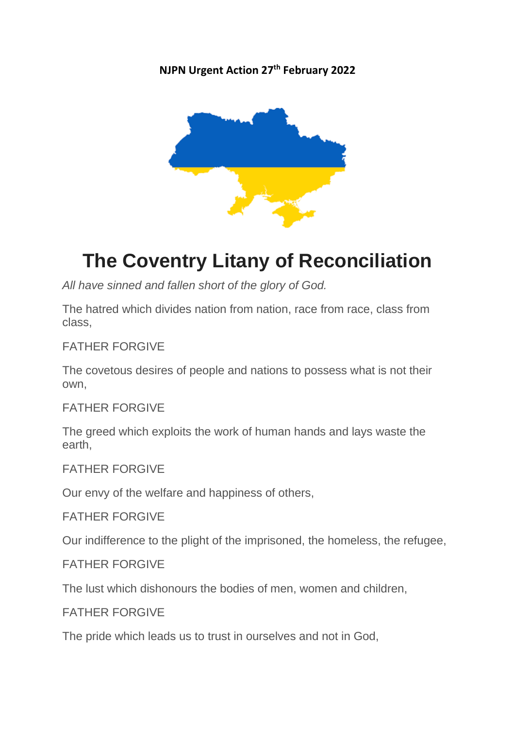**NJPN Urgent Action 27th February 2022**



# **The Coventry Litany of Reconciliation**

*All have sinned and fallen short of the glory of God.*

The hatred which divides nation from nation, race from race, class from class,

FATHER FORGIVE

The covetous desires of people and nations to possess what is not their own,

FATHER FORGIVE

The greed which exploits the work of human hands and lays waste the earth,

FATHER FORGIVE

Our envy of the welfare and happiness of others,

FATHER FORGIVE

Our indifference to the plight of the imprisoned, the homeless, the refugee,

FATHER FORGIVE

The lust which dishonours the bodies of men, women and children,

FATHER FORGIVE

The pride which leads us to trust in ourselves and not in God,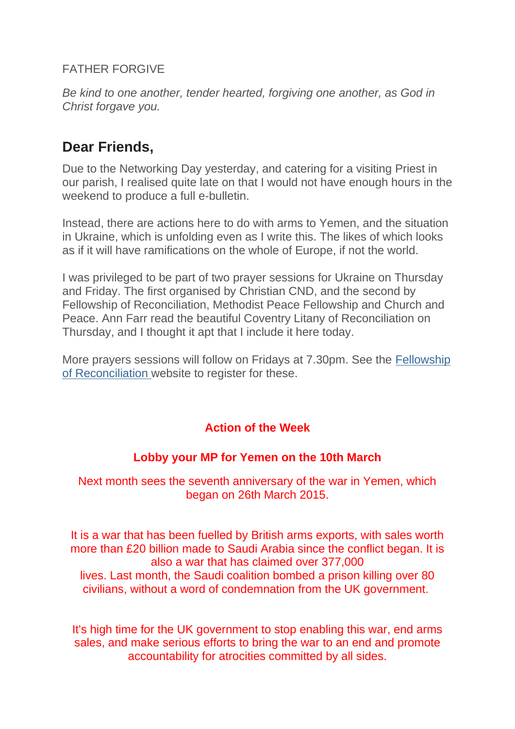# FATHER FORGIVE

*Be kind to one another, tender hearted, forgiving one another, as God in Christ forgave you.*

# **Dear Friends,**

Due to the Networking Day yesterday, and catering for a visiting Priest in our parish, I realised quite late on that I would not have enough hours in the weekend to produce a full e-bulletin.

Instead, there are actions here to do with arms to Yemen, and the situation in Ukraine, which is unfolding even as I write this. The likes of which looks as if it will have ramifications on the whole of Europe, if not the world.

I was privileged to be part of two prayer sessions for Ukraine on Thursday and Friday. The first organised by Christian CND, and the second by Fellowship of Reconciliation, Methodist Peace Fellowship and Church and Peace. Ann Farr read the beautiful Coventry Litany of Reconciliation on Thursday, and I thought it apt that I include it here today.

More prayers sessions will follow on Fridays at 7.30pm. See the [Fellowship](https://justice-and-peace.us7.list-manage.com/track/click?u=43dc262537b1536e87dc04eca&id=e8d1d2c0f6&e=21ab98db78)  [of Reconciliation](https://justice-and-peace.us7.list-manage.com/track/click?u=43dc262537b1536e87dc04eca&id=e8d1d2c0f6&e=21ab98db78) website to register for these.

# **Action of the Week**

# **Lobby your MP for Yemen on the 10th March**

Next month sees the seventh anniversary of the war in Yemen, which began on 26th March 2015.

It is a war that has been fuelled by British arms exports, with sales worth more than £20 billion made to Saudi Arabia since the conflict began. It is also a war that has claimed over 377,000 lives. Last month, the Saudi coalition bombed a prison killing over 80 civilians, without a word of condemnation from the UK government.

It's high time for the UK government to stop enabling this war, end arms sales, and make serious efforts to bring the war to an end and promote accountability for atrocities committed by all sides.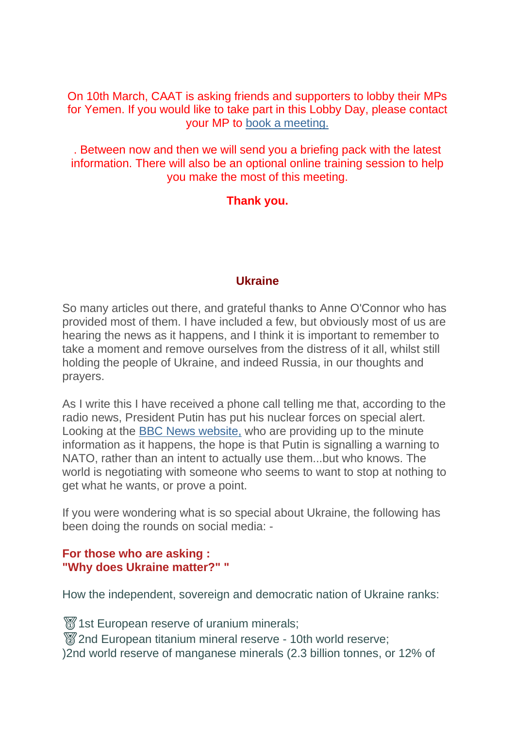On 10th March, CAAT is asking friends and supporters to lobby their MPs for Yemen. If you would like to take part in this Lobby Day, please contact your MP to [book a meeting.](https://justice-and-peace.us7.list-manage.com/track/click?u=43dc262537b1536e87dc04eca&id=a3506cab2b&e=21ab98db78)

. Between now and then we will send you a briefing pack with the latest information. There will also be an optional online training session to help you make the most of this meeting.

# **Thank you.**

### **Ukraine**

So many articles out there, and grateful thanks to Anne O'Connor who has provided most of them. I have included a few, but obviously most of us are hearing the news as it happens, and I think it is important to remember to take a moment and remove ourselves from the distress of it all, whilst still holding the people of Ukraine, and indeed Russia, in our thoughts and prayers.

As I write this I have received a phone call telling me that, according to the radio news, President Putin has put his nuclear forces on special alert. Looking at the [BBC News website,](https://justice-and-peace.us7.list-manage.com/track/click?u=43dc262537b1536e87dc04eca&id=ca3fe01686&e=21ab98db78) who are providing up to the minute information as it happens, the hope is that Putin is signalling a warning to NATO, rather than an intent to actually use them...but who knows. The world is negotiating with someone who seems to want to stop at nothing to get what he wants, or prove a point.

If you were wondering what is so special about Ukraine, the following has been doing the rounds on social media: -

### **For those who are asking : "Why does Ukraine matter?" "**

How the independent, sovereign and democratic nation of Ukraine ranks:

1st European reserve of uranium minerals;

**872nd European titanium mineral reserve - 10th world reserve;** )2nd world reserve of manganese minerals (2.3 billion tonnes, or 12% of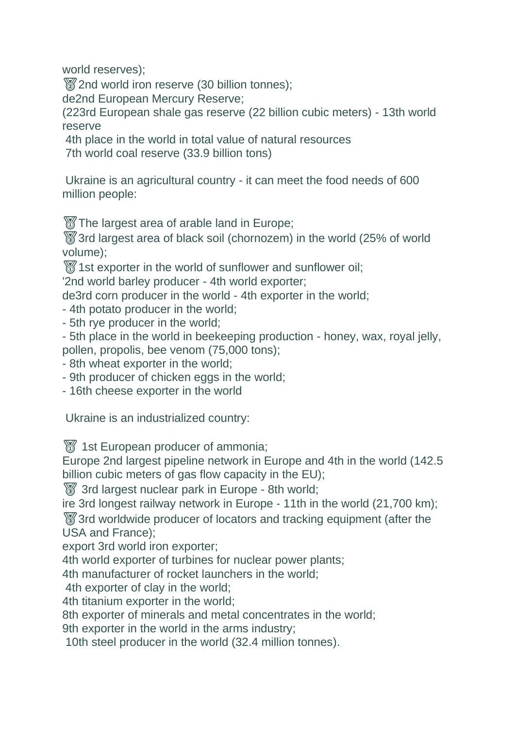world reserves);

2nd world iron reserve (30 billion tonnes);

de2nd European Mercury Reserve;

(223rd European shale gas reserve (22 billion cubic meters) - 13th world reserve

4th place in the world in total value of natural resources

7th world coal reserve (33.9 billion tons)

Ukraine is an agricultural country - it can meet the food needs of 600 million people:

**The largest area of arable land in Europe;** 

3rd largest area of black soil (chornozem) in the world (25% of world volume);

**1st exporter in the world of sunflower and sunflower oil;** 

'2nd world barley producer - 4th world exporter;

de3rd corn producer in the world - 4th exporter in the world;

- 4th potato producer in the world;
- 5th rye producer in the world;

- 5th place in the world in beekeeping production - honey, wax, royal jelly, pollen, propolis, bee venom (75,000 tons);

- 8th wheat exporter in the world;
- 9th producer of chicken eggs in the world;
- 16th cheese exporter in the world

Ukraine is an industrialized country:

**1st European producer of ammonia;** 

Europe 2nd largest pipeline network in Europe and 4th in the world (142.5 billion cubic meters of gas flow capacity in the EU);

3rd largest nuclear park in Europe - 8th world;

ire 3rd longest railway network in Europe - 11th in the world (21,700 km);

3rd worldwide producer of locators and tracking equipment (after the USA and France);

export 3rd world iron exporter;

4th world exporter of turbines for nuclear power plants;

4th manufacturer of rocket launchers in the world;

4th exporter of clay in the world;

4th titanium exporter in the world;

8th exporter of minerals and metal concentrates in the world;

9th exporter in the world in the arms industry;

10th steel producer in the world (32.4 million tonnes).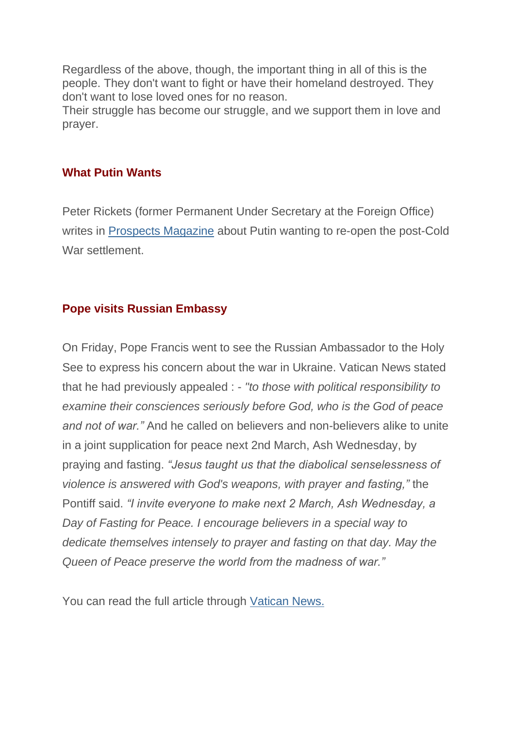Regardless of the above, though, the important thing in all of this is the people. They don't want to fight or have their homeland destroyed. They don't want to lose loved ones for no reason.

Their struggle has become our struggle, and we support them in love and prayer.

# **What Putin Wants**

Peter Rickets (former Permanent Under Secretary at the Foreign Office) writes in [Prospects Magazine](https://justice-and-peace.us7.list-manage.com/track/click?u=43dc262537b1536e87dc04eca&id=1d5bdc1561&e=21ab98db78) about Putin wanting to re-open the post-Cold War settlement.

# **Pope visits Russian Embassy**

On Friday, Pope Francis went to see the Russian Ambassador to the Holy See to express his concern about the war in Ukraine. Vatican News stated that he had previously appealed : - *"to those with political responsibility to examine their consciences seriously before God, who is the God of peace and not of war."* And he called on believers and non-believers alike to unite in a joint supplication for peace next 2nd March, Ash Wednesday, by praying and fasting. *"Jesus taught us that the diabolical senselessness of violence is answered with God's weapons, with prayer and fasting,"* the Pontiff said. *"I invite everyone to make next 2 March, Ash Wednesday, a Day of Fasting for Peace. I encourage believers in a special way to dedicate themselves intensely to prayer and fasting on that day. May the Queen of Peace preserve the world from the madness of war."*

You can read the full article through [Vatican News.](https://justice-and-peace.us7.list-manage.com/track/click?u=43dc262537b1536e87dc04eca&id=bf8ce439a7&e=21ab98db78)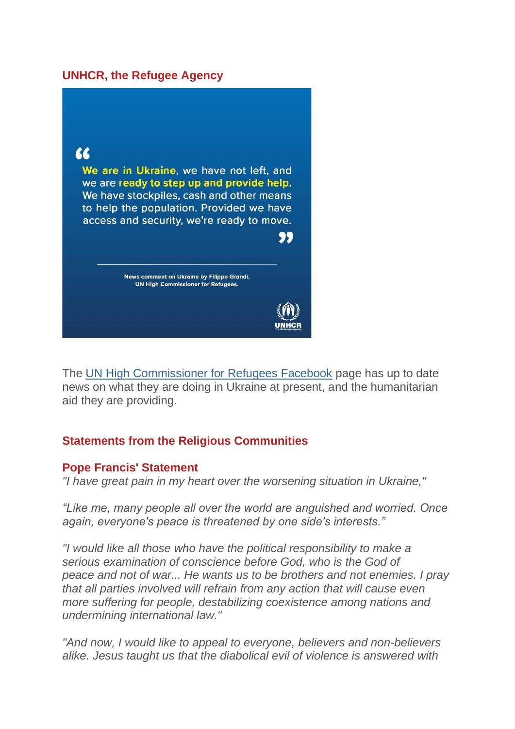### **UNHCR, the Refugee Agency**



The [UN High Commissioner for Refugees Facebook](https://justice-and-peace.us7.list-manage.com/track/click?u=43dc262537b1536e87dc04eca&id=13306c21cb&e=21ab98db78) page has up to date news on what they are doing in Ukraine at present, and the humanitarian aid they are providing.

### **Statements from the Religious Communities**

### **Pope Francis' Statement**

*"I have great pain in my heart over the worsening situation in Ukraine,"*

*"Like me, many people all over the world are anguished and worried. Once again, everyone's peace is threatened by one side's interests."*

*"I would like all those who have the political responsibility to make a serious examination of conscience before God, who is the God of peace and not of war... He wants us to be brothers and not enemies. I pray that all parties involved will refrain from any action that will cause even more suffering for people, destabilizing coexistence among nations and undermining international law."*

*"And now, I would like to appeal to everyone, believers and non-believers alike. Jesus taught us that the diabolical evil of violence is answered with*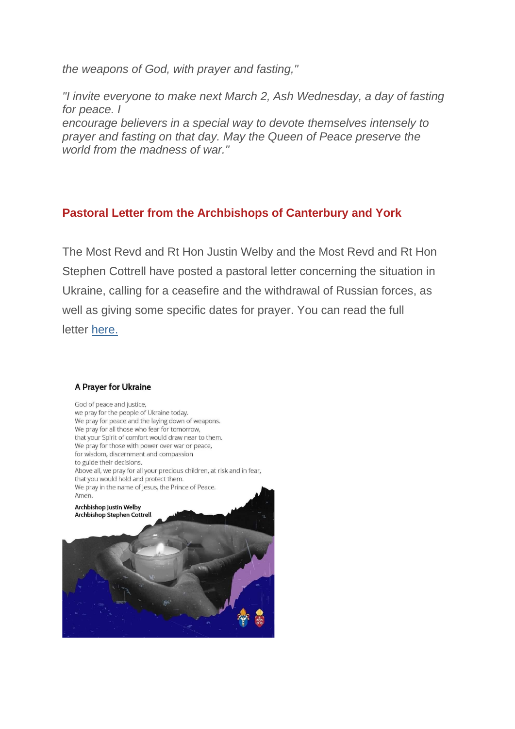*the weapons of God, with prayer and fasting,"*

*"I invite everyone to make next March 2, Ash Wednesday, a day of fasting for peace. I*

*encourage believers in a special way to devote themselves intensely to prayer and fasting on that day. May the Queen of Peace preserve the world from the madness of war."*

# **Pastoral Letter from the Archbishops of Canterbury and York**

The Most Revd and Rt Hon Justin Welby and the Most Revd and Rt Hon Stephen Cottrell have posted a pastoral letter concerning the situation in Ukraine, calling for a ceasefire and the withdrawal of Russian forces, as well as giving some specific dates for prayer. You can read the full letter [here.](https://justice-and-peace.us7.list-manage.com/track/click?u=43dc262537b1536e87dc04eca&id=90ac14176e&e=21ab98db78)

#### A Prayer for Ukraine

God of peace and justice, we pray for the people of Ukraine today. We pray for peace and the laying down of weapons. We pray for all those who fear for tomorrow, that your Spirit of comfort would draw near to them. We pray for those with power over war or peace, for wisdom, discernment and compassion to guide their decisions. Above all, we pray for all your precious children, at risk and in fear, that you would hold and protect them. We pray in the name of Jesus, the Prince of Peace. Amen. Archbishop Justin Welby **Archbishop Stephen Cottrell**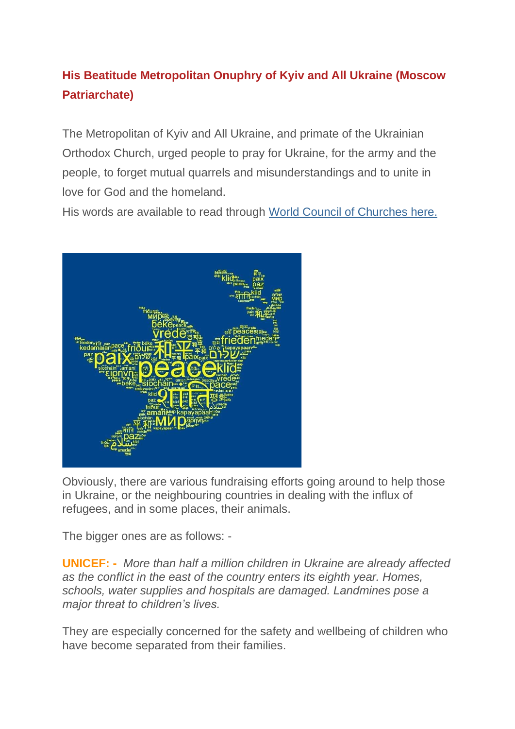# **His Beatitude Metropolitan Onuphry of Kyiv and All Ukraine (Moscow Patriarchate)**

The Metropolitan of Kyiv and All Ukraine, and primate of the Ukrainian Orthodox Church, urged people to pray for Ukraine, for the army and the people, to forget mutual quarrels and misunderstandings and to unite in love for God and the homeland.

His words are available to read through [World Council of Churches here.](https://justice-and-peace.us7.list-manage.com/track/click?u=43dc262537b1536e87dc04eca&id=ea7a51eefe&e=21ab98db78)



Obviously, there are various fundraising efforts going around to help those in Ukraine, or the neighbouring countries in dealing with the influx of refugees, and in some places, their animals.

The bigger ones are as follows: -

**UNICEF: -** *More than half a million children in Ukraine are already affected as the conflict in the east of the country enters its eighth year. Homes, schools, water supplies and hospitals are damaged. Landmines pose a major threat to children's lives.*

They are especially concerned for the safety and wellbeing of children who have become separated from their families.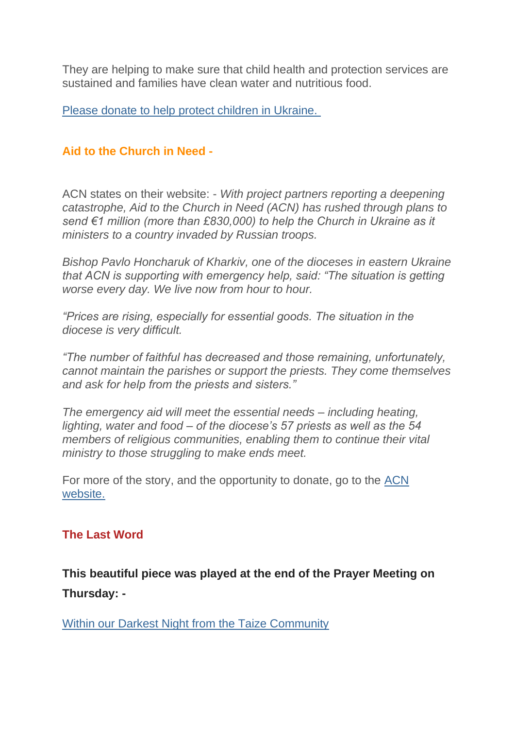They are helping to make sure that child health and protection services are sustained and families have clean water and nutritious food.

[Please donate to help protect children in Ukraine.](https://justice-and-peace.us7.list-manage.com/track/click?u=43dc262537b1536e87dc04eca&id=20a3841783&e=21ab98db78)

# **Aid to the Church in Need -**

ACN states on their website: - *With project partners reporting a deepening catastrophe, Aid to the Church in Need (ACN) has rushed through plans to send €1 million (more than £830,000) to help the Church in Ukraine as it ministers to a country invaded by Russian troops.*

*Bishop Pavlo Honcharuk of Kharkiv, one of the dioceses in eastern Ukraine that ACN is supporting with emergency help, said: "The situation is getting worse every day. We live now from hour to hour.*

*"Prices are rising, especially for essential goods. The situation in the diocese is very difficult.*

*"The number of faithful has decreased and those remaining, unfortunately, cannot maintain the parishes or support the priests. They come themselves and ask for help from the priests and sisters."*

*The emergency aid will meet the essential needs – including heating, lighting, water and food – of the diocese's 57 priests as well as the 54 members of religious communities, enabling them to continue their vital ministry to those struggling to make ends meet.*

For more of the story, and the opportunity to donate, go to the [ACN](https://justice-and-peace.us7.list-manage.com/track/click?u=43dc262537b1536e87dc04eca&id=1c289bd5ea&e=21ab98db78)  [website.](https://justice-and-peace.us7.list-manage.com/track/click?u=43dc262537b1536e87dc04eca&id=1c289bd5ea&e=21ab98db78)

# **The Last Word**

**This beautiful piece was played at the end of the Prayer Meeting on Thursday: -**

[Within our Darkest Night from the Taize Community](https://justice-and-peace.us7.list-manage.com/track/click?u=43dc262537b1536e87dc04eca&id=b8e630378f&e=21ab98db78)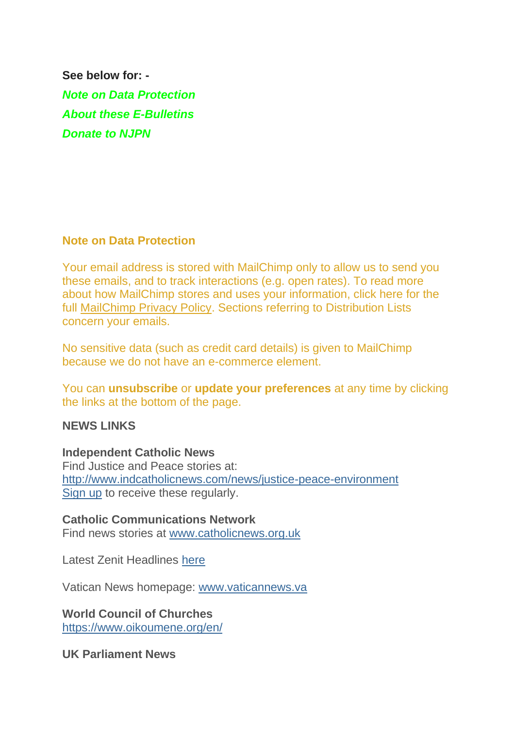**See below for: -** *Note on Data Protection About these E-Bulletins Donate to NJPN*

### **Note on Data Protection**

Your email address is stored with MailChimp only to allow us to send you these emails, and to track interactions (e.g. open rates). To read more about how MailChimp stores and uses your information, click here for the full [MailChimp Privacy Policy.](https://justice-and-peace.us7.list-manage.com/track/click?u=43dc262537b1536e87dc04eca&id=b12093f926&e=21ab98db78) Sections referring to Distribution Lists concern your emails.

No sensitive data (such as credit card details) is given to MailChimp because we do not have an e-commerce element.

You can **unsubscribe** or **update your preferences** at any time by clicking the links at the bottom of the page.

### **NEWS LINKS**

### **Independent Catholic News**

Find Justice and Peace stories at: [http://www.indcatholicnews.com/news/justice-peace-environment](https://justice-and-peace.us7.list-manage.com/track/click?u=43dc262537b1536e87dc04eca&id=571733aaa1&e=21ab98db78) [Sign up](https://justice-and-peace.us7.list-manage.com/track/click?u=43dc262537b1536e87dc04eca&id=cb98e33d01&e=21ab98db78) to receive these regularly.

# **Catholic Communications Network**

Find news stories at [www.catholicnews.org.uk](https://justice-and-peace.us7.list-manage.com/track/click?u=43dc262537b1536e87dc04eca&id=0a18a7eaf3&e=21ab98db78)

Latest Zenit Headlines [here](https://justice-and-peace.us7.list-manage.com/track/click?u=43dc262537b1536e87dc04eca&id=e2a2103bc1&e=21ab98db78)

Vatican News homepage: [www.vaticannews.va](https://justice-and-peace.us7.list-manage.com/track/click?u=43dc262537b1536e87dc04eca&id=51e9914b9d&e=21ab98db78)

### **World Council of Churches**

[https://www.oikoumene.org/en/](https://justice-and-peace.us7.list-manage.com/track/click?u=43dc262537b1536e87dc04eca&id=9f82e7711f&e=21ab98db78)

**UK Parliament News**